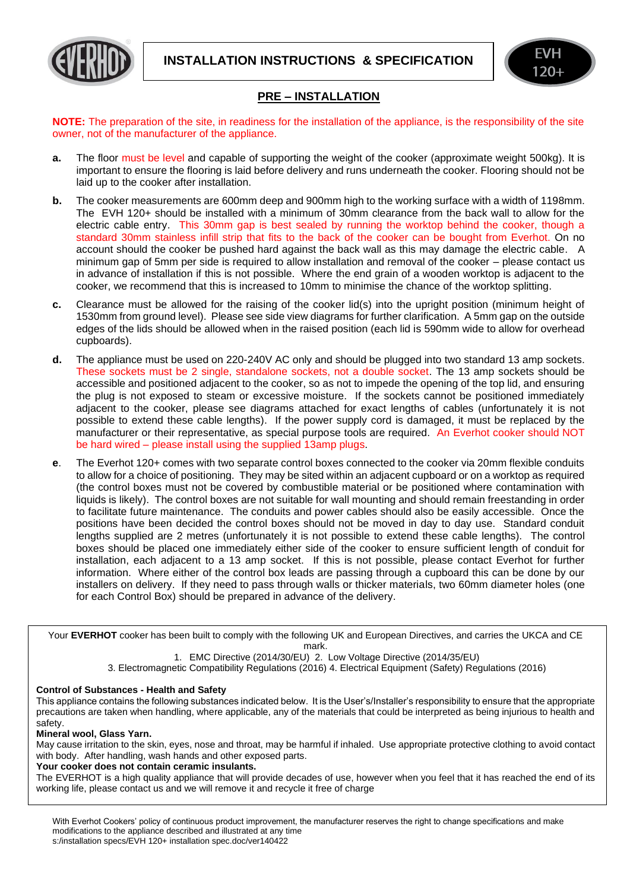



# **PRE – INSTALLATION**

**NOTE:** The preparation of the site, in readiness for the installation of the appliance, is the responsibility of the site owner, not of the manufacturer of the appliance.

- **a.** The floor must be level and capable of supporting the weight of the cooker (approximate weight 500kg). It is important to ensure the flooring is laid before delivery and runs underneath the cooker. Flooring should not be laid up to the cooker after installation.
- **b.** The cooker measurements are 600mm deep and 900mm high to the working surface with a width of 1198mm. The EVH 120+ should be installed with a minimum of 30mm clearance from the back wall to allow for the electric cable entry. This 30mm gap is best sealed by running the worktop behind the cooker, though a standard 30mm stainless infill strip that fits to the back of the cooker can be bought from Everhot. On no account should the cooker be pushed hard against the back wall as this may damage the electric cable. A minimum gap of 5mm per side is required to allow installation and removal of the cooker – please contact us in advance of installation if this is not possible. Where the end grain of a wooden worktop is adjacent to the cooker, we recommend that this is increased to 10mm to minimise the chance of the worktop splitting.
- **c.** Clearance must be allowed for the raising of the cooker lid(s) into the upright position (minimum height of 1530mm from ground level). Please see side view diagrams for further clarification. A 5mm gap on the outside edges of the lids should be allowed when in the raised position (each lid is 590mm wide to allow for overhead cupboards).
- **d.** The appliance must be used on 220-240V AC only and should be plugged into two standard 13 amp sockets. These sockets must be 2 single, standalone sockets, not a double socket. The 13 amp sockets should be accessible and positioned adjacent to the cooker, so as not to impede the opening of the top lid, and ensuring the plug is not exposed to steam or excessive moisture. If the sockets cannot be positioned immediately adjacent to the cooker, please see diagrams attached for exact lengths of cables (unfortunately it is not possible to extend these cable lengths). If the power supply cord is damaged, it must be replaced by the manufacturer or their representative, as special purpose tools are required. An Everhot cooker should NOT be hard wired – please install using the supplied 13amp plugs.
- **e**. The Everhot 120+ comes with two separate control boxes connected to the cooker via 20mm flexible conduits to allow for a choice of positioning. They may be sited within an adjacent cupboard or on a worktop as required (the control boxes must not be covered by combustible material or be positioned where contamination with liquids is likely). The control boxes are not suitable for wall mounting and should remain freestanding in order to facilitate future maintenance. The conduits and power cables should also be easily accessible. Once the positions have been decided the control boxes should not be moved in day to day use. Standard conduit lengths supplied are 2 metres (unfortunately it is not possible to extend these cable lengths). The control boxes should be placed one immediately either side of the cooker to ensure sufficient length of conduit for installation, each adjacent to a 13 amp socket. If this is not possible, please contact Everhot for further information. Where either of the control box leads are passing through a cupboard this can be done by our installers on delivery. If they need to pass through walls or thicker materials, two 60mm diameter holes (one for each Control Box) should be prepared in advance of the delivery.

Your **EVERHOT** cooker has been built to comply with the following UK and European Directives, and carries the UKCA and CE mark.

1. EMC Directive (2014/30/EU) 2. Low Voltage Directive (2014/35/EU)

3. Electromagnetic Compatibility Regulations (2016) 4. Electrical Equipment (Safety) Regulations (2016)

### **Control of Substances - Health and Safety**

This appliance contains the following substances indicated below. It is the User's/Installer's responsibility to ensure that the appropriate precautions are taken when handling, where applicable, any of the materials that could be interpreted as being injurious to health and safety.

### **Mineral wool, Glass Yarn.**

May cause irritation to the skin, eyes, nose and throat, may be harmful if inhaled. Use appropriate protective clothing to avoid contact with body. After handling, wash hands and other exposed parts.

#### **Your cooker does not contain ceramic insulants.**

The EVERHOT is a high quality appliance that will provide decades of use, however when you feel that it has reached the end of its working life, please contact us and we will remove it and recycle it free of charge

With Everhot Cookers' policy of continuous product improvement, the manufacturer reserves the right to change specifications and make modifications to the appliance described and illustrated at any time s:/installation specs/EVH 120+ installation spec.doc/ver140422